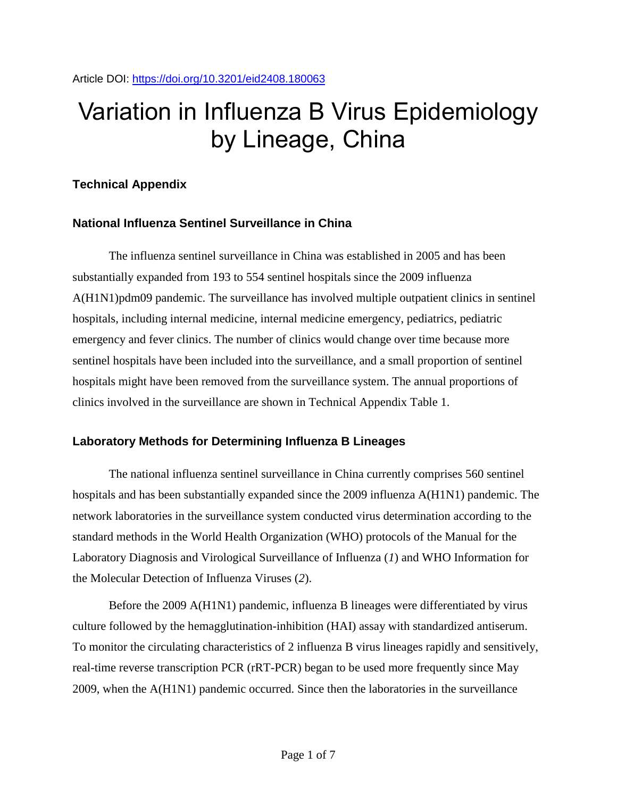# Variation in Influenza B Virus Epidemiology by Lineage, China

## **Technical Appendix**

## **National Influenza Sentinel Surveillance in China**

The influenza sentinel surveillance in China was established in 2005 and has been substantially expanded from 193 to 554 sentinel hospitals since the 2009 influenza A(H1N1)pdm09 pandemic. The surveillance has involved multiple outpatient clinics in sentinel hospitals, including internal medicine, internal medicine emergency, pediatrics, pediatric emergency and fever clinics. The number of clinics would change over time because more sentinel hospitals have been included into the surveillance, and a small proportion of sentinel hospitals might have been removed from the surveillance system. The annual proportions of clinics involved in the surveillance are shown in Technical Appendix Table 1.

## **Laboratory Methods for Determining Influenza B Lineages**

The national influenza sentinel surveillance in China currently comprises 560 sentinel hospitals and has been substantially expanded since the 2009 influenza A(H1N1) pandemic. The network laboratories in the surveillance system conducted virus determination according to the standard methods in the World Health Organization (WHO) protocols of the Manual for the Laboratory Diagnosis and Virological Surveillance of Influenza (*1*) and WHO Information for the Molecular Detection of Influenza Viruses (*2*).

Before the 2009 A(H1N1) pandemic, influenza B lineages were differentiated by virus culture followed by the hemagglutination-inhibition (HAI) assay with standardized antiserum. To monitor the circulating characteristics of 2 influenza B virus lineages rapidly and sensitively, real-time reverse transcription PCR (rRT-PCR) began to be used more frequently since May 2009, when the A(H1N1) pandemic occurred. Since then the laboratories in the surveillance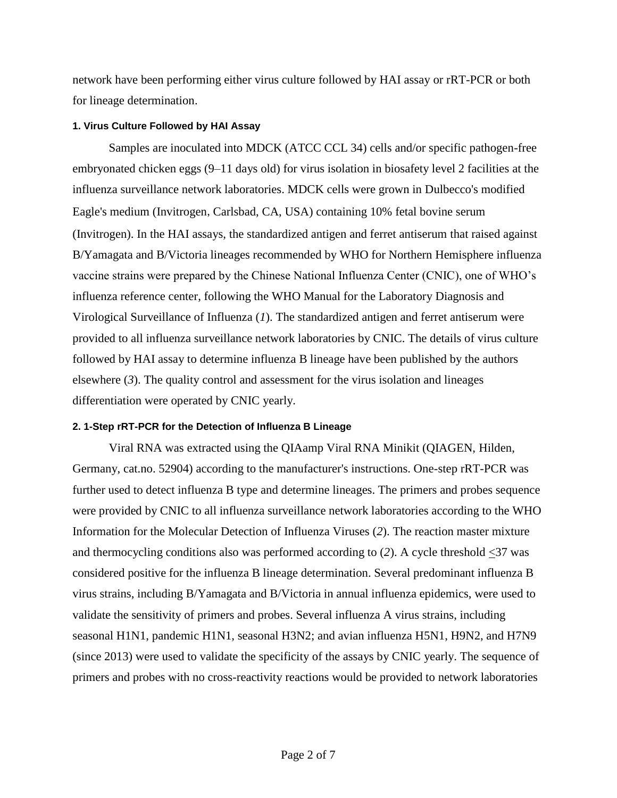network have been performing either virus culture followed by HAI assay or rRT-PCR or both for lineage determination.

#### **1. Virus Culture Followed by HAI Assay**

Samples are inoculated into MDCK (ATCC CCL 34) cells and/or specific pathogen-free embryonated chicken eggs (9–11 days old) for virus isolation in biosafety level 2 facilities at the influenza surveillance network laboratories. MDCK cells were grown in Dulbecco's modified Eagle's medium (Invitrogen, Carlsbad, CA, USA) containing 10% fetal bovine serum (Invitrogen). In the HAI assays, the standardized antigen and ferret antiserum that raised against B/Yamagata and B/Victoria lineages recommended by WHO for Northern Hemisphere influenza vaccine strains were prepared by the Chinese National Influenza Center (CNIC), one of WHO's influenza reference center, following the WHO Manual for the Laboratory Diagnosis and Virological Surveillance of Influenza (*1*). The standardized antigen and ferret antiserum were provided to all influenza surveillance network laboratories by CNIC. The details of virus culture followed by HAI assay to determine influenza B lineage have been published by the authors elsewhere (*3*). The quality control and assessment for the virus isolation and lineages differentiation were operated by CNIC yearly.

#### **2. 1-Step rRT-PCR for the Detection of Influenza B Lineage**

Viral RNA was extracted using the QIAamp Viral RNA Minikit (QIAGEN, Hilden, Germany, cat.no. 52904) according to the manufacturer's instructions. One-step rRT-PCR was further used to detect influenza B type and determine lineages. The primers and probes sequence were provided by CNIC to all influenza surveillance network laboratories according to the WHO Information for the Molecular Detection of Influenza Viruses (*2*). The reaction master mixture and thermocycling conditions also was performed according to (*2*). A cycle threshold <37 was considered positive for the influenza B lineage determination. Several predominant influenza B virus strains, including B/Yamagata and B/Victoria in annual influenza epidemics, were used to validate the sensitivity of primers and probes. Several influenza A virus strains, including seasonal H1N1, pandemic H1N1, seasonal H3N2; and avian influenza H5N1, H9N2, and H7N9 (since 2013) were used to validate the specificity of the assays by CNIC yearly. The sequence of primers and probes with no cross-reactivity reactions would be provided to network laboratories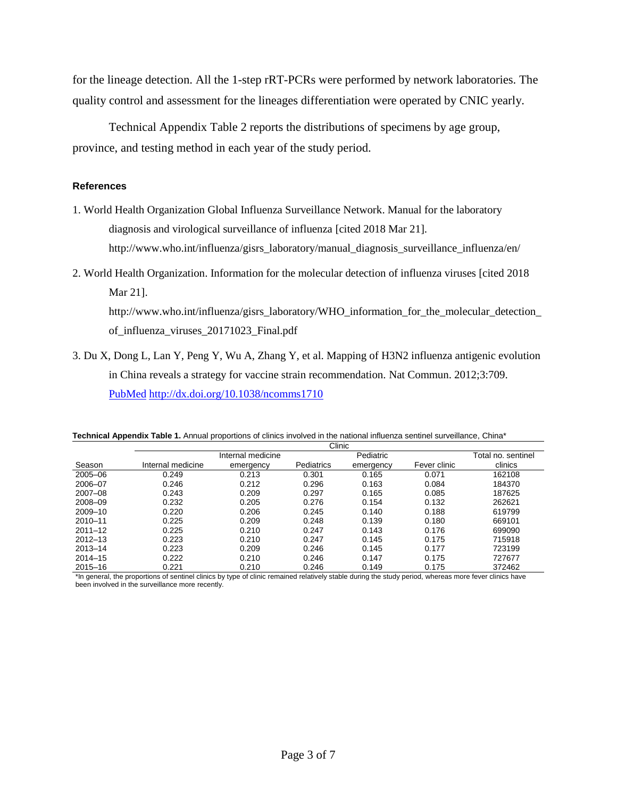for the lineage detection. All the 1-step rRT-PCRs were performed by network laboratories. The quality control and assessment for the lineages differentiation were operated by CNIC yearly.

Technical Appendix Table 2 reports the distributions of specimens by age group, province, and testing method in each year of the study period.

#### **References**

- 1. World Health Organization Global Influenza Surveillance Network. Manual for the laboratory diagnosis and virological surveillance of influenza [cited 2018 Mar 21]. http://www.who.int/influenza/gisrs\_laboratory/manual\_diagnosis\_surveillance\_influenza/en/
- 2. World Health Organization. Information for the molecular detection of influenza viruses [cited 2018 Mar 21].

http://www.who.int/influenza/gisrs\_laboratory/WHO\_information\_for\_the\_molecular\_detection\_ of\_influenza\_viruses\_20171023\_Final.pdf

Clinic

3. Du X, Dong L, Lan Y, Peng Y, Wu A, Zhang Y, et al. Mapping of H3N2 influenza antigenic evolution in China reveals a strategy for vaccine strain recommendation. Nat Commun. 2012;3:709[.](https://www.ncbi.nlm.nih.gov/entrez/query.fcgi?cmd=Retrieve&db=PubMed&list_uids=22426230&dopt=Abstract) [PubMed](https://www.ncbi.nlm.nih.gov/entrez/query.fcgi?cmd=Retrieve&db=PubMed&list_uids=22426230&dopt=Abstract) <http://dx.doi.org/10.1038/ncomms1710>

|             | ◡┉                |                   |            |           |                    |         |  |  |  |  |
|-------------|-------------------|-------------------|------------|-----------|--------------------|---------|--|--|--|--|
|             |                   | Internal medicine |            | Pediatric | Total no. sentinel |         |  |  |  |  |
| Season      | Internal medicine | emergency         | Pediatrics | emergency | Fever clinic       | clinics |  |  |  |  |
| 2005-06     | 0.249             | 0.213             | 0.301      | 0.165     | 0.071              | 162108  |  |  |  |  |
| 2006-07     | 0.246             | 0.212             | 0.296      | 0.163     | 0.084              | 184370  |  |  |  |  |
| $2007 - 08$ | 0.243             | 0.209             | 0.297      | 0.165     | 0.085              | 187625  |  |  |  |  |
| 2008-09     | 0.232             | 0.205             | 0.276      | 0.154     | 0.132              | 262621  |  |  |  |  |
| 2009-10     | 0.220             | 0.206             | 0.245      | 0.140     | 0.188              | 619799  |  |  |  |  |
| 2010-11     | 0.225             | 0.209             | 0.248      | 0.139     | 0.180              | 669101  |  |  |  |  |
| $2011 - 12$ | 0.225             | 0.210             | 0.247      | 0.143     | 0.176              | 699090  |  |  |  |  |
| $2012 - 13$ | 0.223             | 0.210             | 0.247      | 0.145     | 0.175              | 715918  |  |  |  |  |
| $2013 - 14$ | 0.223             | 0.209             | 0.246      | 0.145     | 0.177              | 723199  |  |  |  |  |
| $2014 - 15$ | 0.222             | 0.210             | 0.246      | 0.147     | 0.175              | 727677  |  |  |  |  |
| $2015 - 16$ | 0.221             | 0.210             | 0.246      | 0.149     | 0.175              | 372462  |  |  |  |  |

**Technical Appendix Table 1.** Annual proportions of clinics involved in the national influenza sentinel surveillance, China\*

\*In general, the proportions of sentinel clinics by type of clinic remained relatively stable during the study period, whereas more fever clinics have been involved in the surveillance more recently.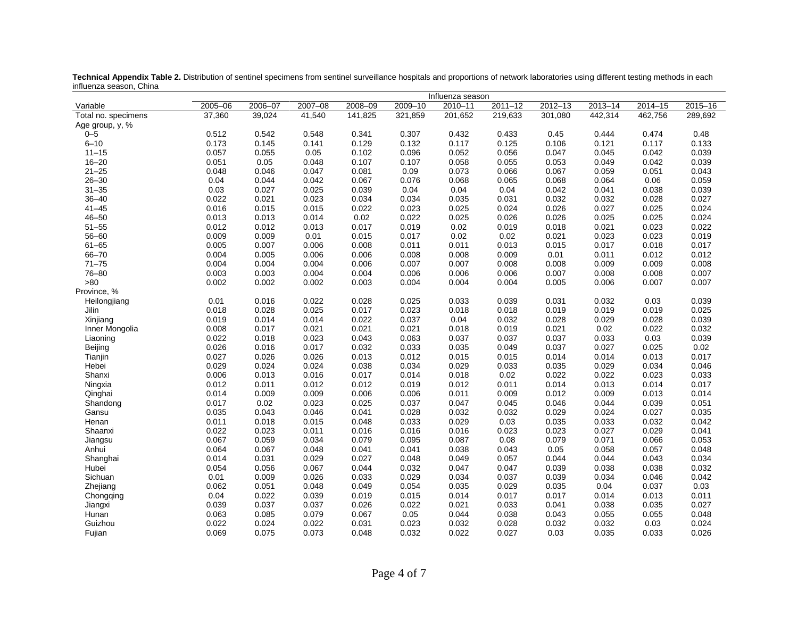|                     | Influenza season |         |             |         |             |         |             |             |             |             |             |
|---------------------|------------------|---------|-------------|---------|-------------|---------|-------------|-------------|-------------|-------------|-------------|
| Variable            | 2005-06          | 2006-07 | $2007 - 08$ | 2008-09 | $2009 - 10$ | 2010-11 | $2011 - 12$ | $2012 - 13$ | $2013 - 14$ | $2014 - 15$ | $2015 - 16$ |
| Total no. specimens | 37,360           | 39,024  | 41,540      | 141,825 | 321,859     | 201,652 | 219,633     | 301,080     | 442,314     | 462,756     | 289,692     |
| Age group, y, %     |                  |         |             |         |             |         |             |             |             |             |             |
| $0 - 5$             | 0.512            | 0.542   | 0.548       | 0.341   | 0.307       | 0.432   | 0.433       | 0.45        | 0.444       | 0.474       | 0.48        |
| $6 - 10$            | 0.173            | 0.145   | 0.141       | 0.129   | 0.132       | 0.117   | 0.125       | 0.106       | 0.121       | 0.117       | 0.133       |
| $11 - 15$           | 0.057            | 0.055   | 0.05        | 0.102   | 0.096       | 0.052   | 0.056       | 0.047       | 0.045       | 0.042       | 0.039       |
| $16 - 20$           | 0.051            | 0.05    | 0.048       | 0.107   | 0.107       | 0.058   | 0.055       | 0.053       | 0.049       | 0.042       | 0.039       |
| $21 - 25$           | 0.048            | 0.046   | 0.047       | 0.081   | 0.09        | 0.073   | 0.066       | 0.067       | 0.059       | 0.051       | 0.043       |
| $26 - 30$           | 0.04             | 0.044   | 0.042       | 0.067   | 0.076       | 0.068   | 0.065       | 0.068       | 0.064       | 0.06        | 0.059       |
| $31 - 35$           | 0.03             | 0.027   | 0.025       | 0.039   | 0.04        | 0.04    | 0.04        | 0.042       | 0.041       | 0.038       | 0.039       |
| $36 - 40$           | 0.022            | 0.021   | 0.023       | 0.034   | 0.034       | 0.035   | 0.031       | 0.032       | 0.032       | 0.028       | 0.027       |
| $41 - 45$           | 0.016            | 0.015   | 0.015       | 0.022   | 0.023       | 0.025   | 0.024       | 0.026       | 0.027       | 0.025       | 0.024       |
| $46 - 50$           | 0.013            | 0.013   | 0.014       | 0.02    | 0.022       | 0.025   | 0.026       | 0.026       | 0.025       | 0.025       | 0.024       |
| $51 - 55$           | 0.012            | 0.012   | 0.013       | 0.017   | 0.019       | 0.02    | 0.019       | 0.018       | 0.021       | 0.023       | 0.022       |
| $56 - 60$           | 0.009            | 0.009   | 0.01        | 0.015   | 0.017       | 0.02    | 0.02        | 0.021       | 0.023       | 0.023       | 0.019       |
| $61 - 65$           | 0.005            | 0.007   | 0.006       | 0.008   | 0.011       | 0.011   | 0.013       | 0.015       | 0.017       | 0.018       | 0.017       |
| 66-70               | 0.004            | 0.005   | 0.006       | 0.006   | 0.008       | 0.008   | 0.009       | 0.01        | 0.011       | 0.012       | 0.012       |
| $71 - 75$           | 0.004            | 0.004   | 0.004       | 0.006   | 0.007       | 0.007   | 0.008       | 0.008       | 0.009       | 0.009       | 0.008       |
| 76-80               | 0.003            | 0.003   | 0.004       | 0.004   | 0.006       | 0.006   | 0.006       | 0.007       | 0.008       | 0.008       | 0.007       |
| >80                 | 0.002            | 0.002   | 0.002       | 0.003   | 0.004       | 0.004   | 0.004       | 0.005       | 0.006       | 0.007       | 0.007       |
| Province, %         |                  |         |             |         |             |         |             |             |             |             |             |
| Heilongjiang        | 0.01             | 0.016   | 0.022       | 0.028   | 0.025       | 0.033   | 0.039       | 0.031       | 0.032       | 0.03        | 0.039       |
| Jilin               | 0.018            | 0.028   | 0.025       | 0.017   | 0.023       | 0.018   | 0.018       | 0.019       | 0.019       | 0.019       | 0.025       |
| Xinjiang            | 0.019            | 0.014   | 0.014       | 0.022   | 0.037       | 0.04    | 0.032       | 0.028       | 0.029       | 0.028       | 0.039       |
| Inner Mongolia      | 0.008            | 0.017   | 0.021       | 0.021   | 0.021       | 0.018   | 0.019       | 0.021       | 0.02        | 0.022       | 0.032       |
| Liaoning            | 0.022            | 0.018   | 0.023       | 0.043   | 0.063       | 0.037   | 0.037       | 0.037       | 0.033       | 0.03        | 0.039       |
| Beijing             | 0.026            | 0.016   | 0.017       | 0.032   | 0.033       | 0.035   | 0.049       | 0.037       | 0.027       | 0.025       | 0.02        |
| Tianjin             | 0.027            | 0.026   | 0.026       | 0.013   | 0.012       | 0.015   | 0.015       | 0.014       | 0.014       | 0.013       | 0.017       |
| Hebei               | 0.029            | 0.024   | 0.024       | 0.038   | 0.034       | 0.029   | 0.033       | 0.035       | 0.029       | 0.034       | 0.046       |
| Shanxi              | 0.006            | 0.013   | 0.016       | 0.017   | 0.014       | 0.018   | 0.02        | 0.022       | 0.022       | 0.023       | 0.033       |
| Ningxia             | 0.012            | 0.011   | 0.012       | 0.012   | 0.019       | 0.012   | 0.011       | 0.014       | 0.013       | 0.014       | 0.017       |
| Qinghai             | 0.014            | 0.009   | 0.009       | 0.006   | 0.006       | 0.011   | 0.009       | 0.012       | 0.009       | 0.013       | 0.014       |
| Shandong            | 0.017            | 0.02    | 0.023       | 0.025   | 0.037       | 0.047   | 0.045       | 0.046       | 0.044       | 0.039       | 0.051       |
| Gansu               | 0.035            | 0.043   | 0.046       | 0.041   | 0.028       | 0.032   | 0.032       | 0.029       | 0.024       | 0.027       | 0.035       |
| Henan               | 0.011            | 0.018   | 0.015       | 0.048   | 0.033       | 0.029   | 0.03        | 0.035       | 0.033       | 0.032       | 0.042       |
| Shaanxi             | 0.022            | 0.023   | 0.011       | 0.016   | 0.016       | 0.016   | 0.023       | 0.023       | 0.027       | 0.029       | 0.041       |
| Jiangsu             | 0.067            | 0.059   | 0.034       | 0.079   | 0.095       | 0.087   | 0.08        | 0.079       | 0.071       | 0.066       | 0.053       |
| Anhui               | 0.064            | 0.067   | 0.048       | 0.041   | 0.041       | 0.038   | 0.043       | 0.05        | 0.058       | 0.057       | 0.048       |
| Shanghai            | 0.014            | 0.031   | 0.029       | 0.027   | 0.048       | 0.049   | 0.057       | 0.044       | 0.044       | 0.043       | 0.034       |
| Hubei               | 0.054            | 0.056   | 0.067       | 0.044   | 0.032       | 0.047   | 0.047       | 0.039       | 0.038       | 0.038       | 0.032       |
| Sichuan             | 0.01             | 0.009   | 0.026       | 0.033   | 0.029       | 0.034   | 0.037       | 0.039       | 0.034       | 0.046       | 0.042       |
| Zhejiang            | 0.062            | 0.051   | 0.048       | 0.049   | 0.054       | 0.035   | 0.029       | 0.035       | 0.04        | 0.037       | 0.03        |
| Chongqing           | 0.04             | 0.022   | 0.039       | 0.019   | 0.015       | 0.014   | 0.017       | 0.017       | 0.014       | 0.013       | 0.011       |
| Jiangxi             | 0.039            | 0.037   | 0.037       | 0.026   | 0.022       | 0.021   | 0.033       | 0.041       | 0.038       | 0.035       | 0.027       |
| Hunan               | 0.063            | 0.085   | 0.079       | 0.067   | 0.05        | 0.044   | 0.038       | 0.043       | 0.055       | 0.055       | 0.048       |
| Guizhou             | 0.022            | 0.024   | 0.022       | 0.031   | 0.023       | 0.032   | 0.028       | 0.032       | 0.032       | 0.03        | 0.024       |
| Fujian              | 0.069            | 0.075   | 0.073       | 0.048   | 0.032       | 0.022   | 0.027       | 0.03        | 0.035       | 0.033       | 0.026       |

**Technical Appendix Table 2.** Distribution of sentinel specimens from sentinel surveillance hospitals and proportions of network laboratories using different testing methods in each influenza season, China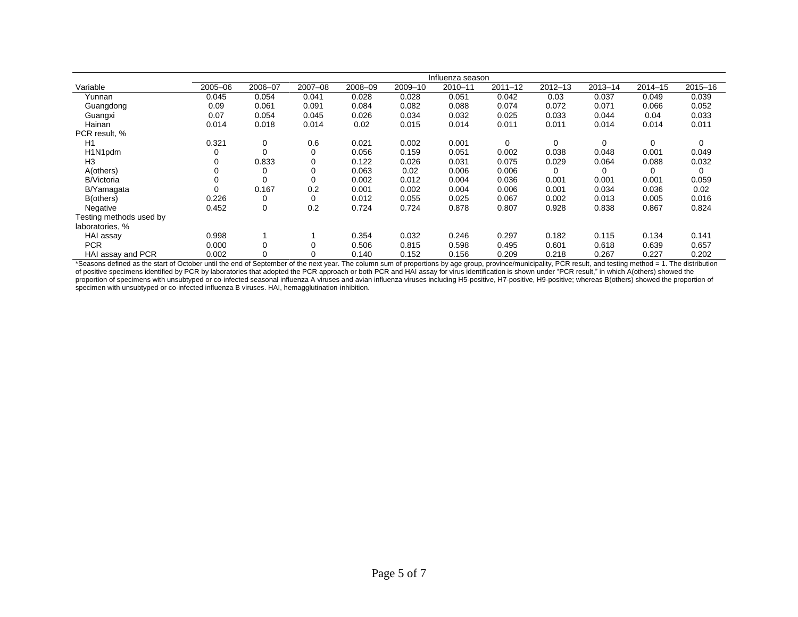|                         | Influenza season |         |         |         |         |         |             |             |             |             |             |
|-------------------------|------------------|---------|---------|---------|---------|---------|-------------|-------------|-------------|-------------|-------------|
| Variable                | 2005-06          | 2006-07 | 2007-08 | 2008-09 | 2009-10 | 2010-11 | $2011 - 12$ | $2012 - 13$ | $2013 - 14$ | $2014 - 15$ | $2015 - 16$ |
| Yunnan                  | 0.045            | 0.054   | 0.041   | 0.028   | 0.028   | 0.051   | 0.042       | 0.03        | 0.037       | 0.049       | 0.039       |
| Guangdong               | 0.09             | 0.061   | 0.091   | 0.084   | 0.082   | 0.088   | 0.074       | 0.072       | 0.071       | 0.066       | 0.052       |
| Guangxi                 | 0.07             | 0.054   | 0.045   | 0.026   | 0.034   | 0.032   | 0.025       | 0.033       | 0.044       | 0.04        | 0.033       |
| Hainan                  | 0.014            | 0.018   | 0.014   | 0.02    | 0.015   | 0.014   | 0.011       | 0.011       | 0.014       | 0.014       | 0.011       |
| PCR result, %           |                  |         |         |         |         |         |             |             |             |             |             |
| H1                      | 0.321            | 0       | 0.6     | 0.021   | 0.002   | 0.001   | $\Omega$    | 0           | $\Omega$    | 0           | 0           |
| H1N1pdm                 |                  |         | 0       | 0.056   | 0.159   | 0.051   | 0.002       | 0.038       | 0.048       | 0.001       | 0.049       |
| H3                      |                  | 0.833   | 0       | 0.122   | 0.026   | 0.031   | 0.075       | 0.029       | 0.064       | 0.088       | 0.032       |
| A(others)               |                  |         | 0       | 0.063   | 0.02    | 0.006   | 0.006       | 0           | 0           | 0           | 0           |
| <b>B/Victoria</b>       |                  |         | 0       | 0.002   | 0.012   | 0.004   | 0.036       | 0.001       | 0.001       | 0.001       | 0.059       |
| B/Yamagata              |                  | 0.167   | 0.2     | 0.001   | 0.002   | 0.004   | 0.006       | 0.001       | 0.034       | 0.036       | 0.02        |
| B(others)               | 0.226            |         | 0       | 0.012   | 0.055   | 0.025   | 0.067       | 0.002       | 0.013       | 0.005       | 0.016       |
| Negative                | 0.452            | 0       | 0.2     | 0.724   | 0.724   | 0.878   | 0.807       | 0.928       | 0.838       | 0.867       | 0.824       |
| Testing methods used by |                  |         |         |         |         |         |             |             |             |             |             |
| laboratories. %         |                  |         |         |         |         |         |             |             |             |             |             |
| HAI assay               | 0.998            |         |         | 0.354   | 0.032   | 0.246   | 0.297       | 0.182       | 0.115       | 0.134       | 0.141       |
| <b>PCR</b>              | 0.000            |         |         | 0.506   | 0.815   | 0.598   | 0.495       | 0.601       | 0.618       | 0.639       | 0.657       |
| HAI assay and PCR       | 0.002            |         | 0       | 0.140   | 0.152   | 0.156   | 0.209       | 0.218       | 0.267       | 0.227       | 0.202       |

\*Seasons defined as the start of October until the end of September of the next year. The column sum of proportions by age group, province/municipality, PCR result, and testing method = 1. The distribution of positive specimens identified by PCR by laboratories that adopted the PCR approach or both PCR and HAI assay for virus identification is shown under "PCR result," in which A(others) showed the proportion of specimens with unsubtyped or co-infected seasonal influenza A viruses and avian influenza viruses including H5-positive, H7-positive, H9-positive; whereas B(others) showed the proportion of specimen with unsubtyped or co-infected influenza B viruses. HAI, hemagglutination-inhibition.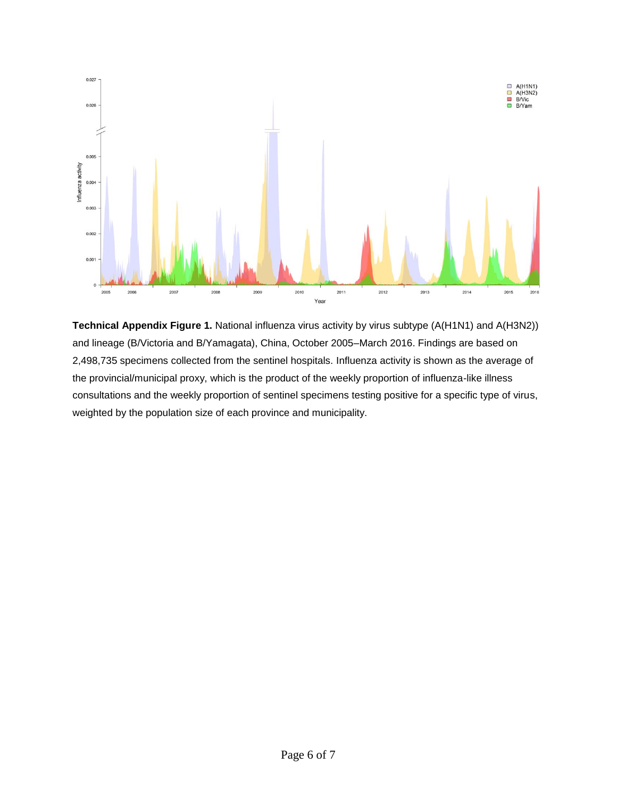

**Technical Appendix Figure 1.** National influenza virus activity by virus subtype (A(H1N1) and A(H3N2)) and lineage (B/Victoria and B/Yamagata), China, October 2005–March 2016. Findings are based on 2,498,735 specimens collected from the sentinel hospitals. Influenza activity is shown as the average of the provincial/municipal proxy, which is the product of the weekly proportion of influenza-like illness consultations and the weekly proportion of sentinel specimens testing positive for a specific type of virus, weighted by the population size of each province and municipality.